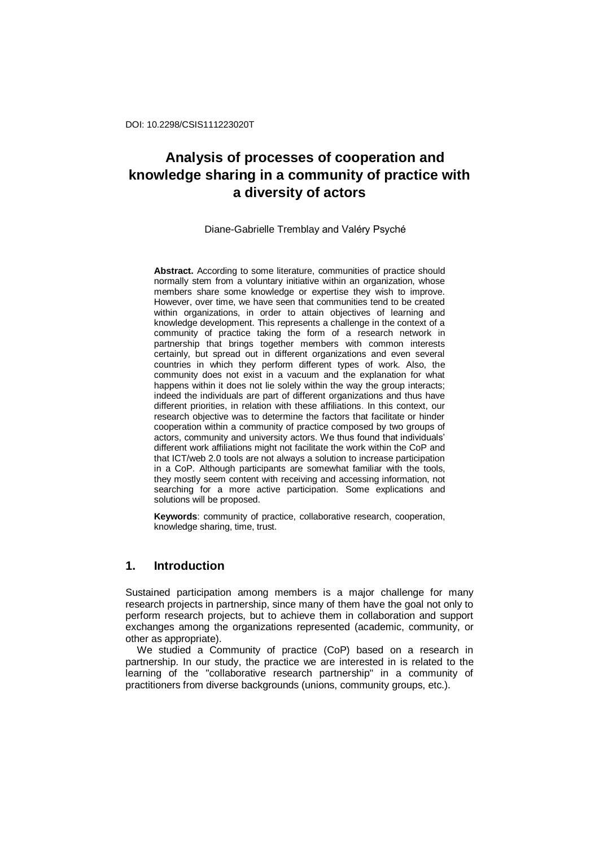Diane-Gabrielle Tremblay and Valéry Psyché

**Abstract.** According to some literature, communities of practice should normally stem from a voluntary initiative within an organization, whose members share some knowledge or expertise they wish to improve. However, over time, we have seen that communities tend to be created within organizations, in order to attain objectives of learning and knowledge development. This represents a challenge in the context of a community of practice taking the form of a research network in partnership that brings together members with common interests certainly, but spread out in different organizations and even several countries in which they perform different types of work. Also, the community does not exist in a vacuum and the explanation for what happens within it does not lie solely within the way the group interacts; indeed the individuals are part of different organizations and thus have different priorities, in relation with these affiliations. In this context, our research objective was to determine the factors that facilitate or hinder cooperation within a community of practice composed by two groups of actors, community and university actors. We thus found that individuals' different work affiliations might not facilitate the work within the CoP and that ICT/web 2.0 tools are not always a solution to increase participation in a CoP. Although participants are somewhat familiar with the tools, they mostly seem content with receiving and accessing information, not searching for a more active participation. Some explications and solutions will be proposed.

**Keywords**: community of practice, collaborative research, cooperation, knowledge sharing, time, trust.

# **1. Introduction**

Sustained participation among members is a major challenge for many research projects in partnership, since many of them have the goal not only to perform research projects, but to achieve them in collaboration and support exchanges among the organizations represented (academic, community, or other as appropriate).

We studied a Community of practice (CoP) based on a research in partnership. In our study, the practice we are interested in is related to the learning of the "collaborative research partnership" in a community of practitioners from diverse backgrounds (unions, community groups, etc.).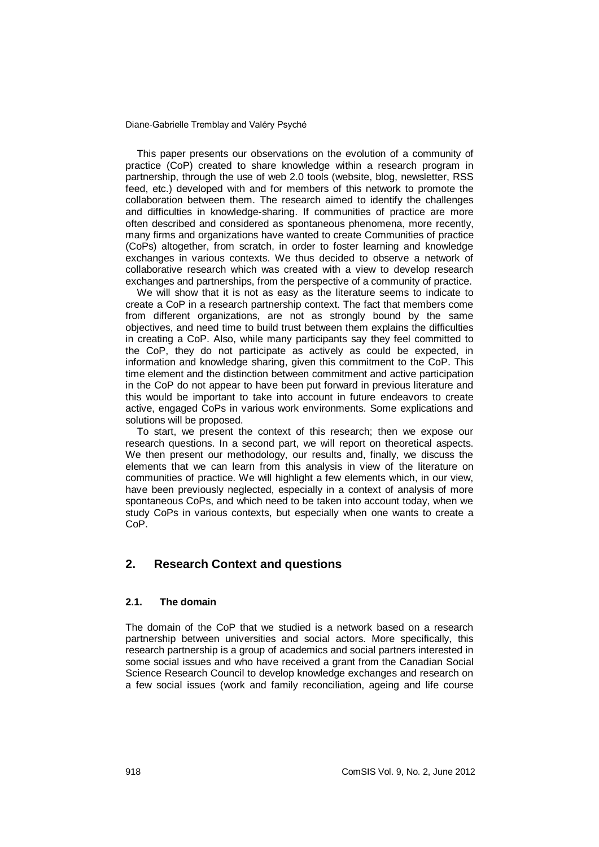This paper presents our observations on the evolution of a community of practice (CoP) created to share knowledge within a research program in partnership, through the use of web 2.0 tools (website, blog, newsletter, RSS feed, etc.) developed with and for members of this network to promote the collaboration between them. The research aimed to identify the challenges and difficulties in knowledge-sharing. If communities of practice are more often described and considered as spontaneous phenomena, more recently, many firms and organizations have wanted to create Communities of practice (CoPs) altogether, from scratch, in order to foster learning and knowledge exchanges in various contexts. We thus decided to observe a network of collaborative research which was created with a view to develop research exchanges and partnerships, from the perspective of a community of practice.

We will show that it is not as easy as the literature seems to indicate to create a CoP in a research partnership context. The fact that members come from different organizations, are not as strongly bound by the same objectives, and need time to build trust between them explains the difficulties in creating a CoP. Also, while many participants say they feel committed to the CoP, they do not participate as actively as could be expected, in information and knowledge sharing, given this commitment to the CoP. This time element and the distinction between commitment and active participation in the CoP do not appear to have been put forward in previous literature and this would be important to take into account in future endeavors to create active, engaged CoPs in various work environments. Some explications and solutions will be proposed.

To start, we present the context of this research; then we expose our research questions. In a second part, we will report on theoretical aspects. We then present our methodology, our results and, finally, we discuss the elements that we can learn from this analysis in view of the literature on communities of practice. We will highlight a few elements which, in our view, have been previously neglected, especially in a context of analysis of more spontaneous CoPs, and which need to be taken into account today, when we study CoPs in various contexts, but especially when one wants to create a CoP.

# **2. Research Context and questions**

#### **2.1. The domain**

The domain of the CoP that we studied is a network based on a research partnership between universities and social actors. More specifically, this research partnership is a group of academics and social partners interested in some social issues and who have received a grant from the Canadian Social Science Research Council to develop knowledge exchanges and research on a few social issues (work and family reconciliation, ageing and life course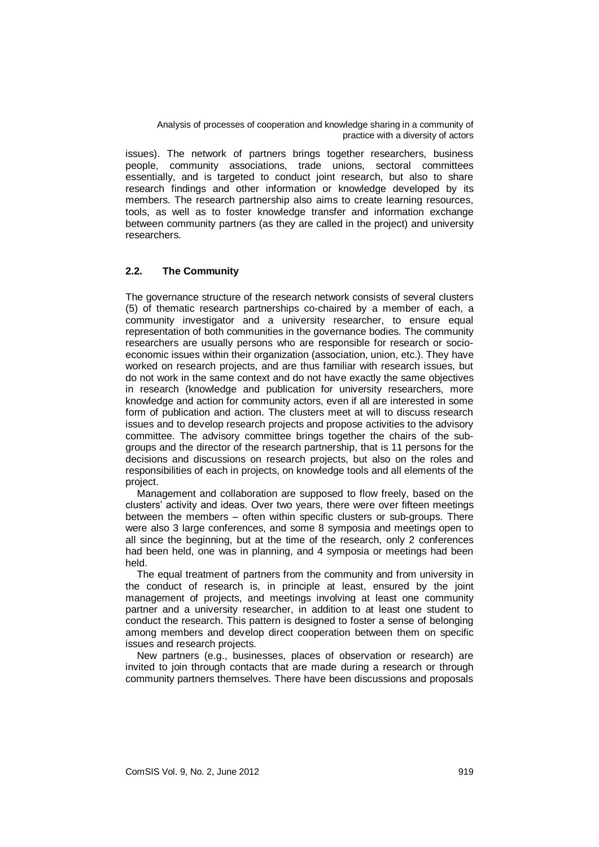issues). The network of partners brings together researchers, business people, community associations, trade unions, sectoral committees essentially, and is targeted to conduct joint research, but also to share research findings and other information or knowledge developed by its members. The research partnership also aims to create learning resources, tools, as well as to foster knowledge transfer and information exchange between community partners (as they are called in the project) and university researchers.

# **2.2. The Community**

The governance structure of the research network consists of several clusters (5) of thematic research partnerships co-chaired by a member of each, a community investigator and a university researcher, to ensure equal representation of both communities in the governance bodies. The community researchers are usually persons who are responsible for research or socioeconomic issues within their organization (association, union, etc.). They have worked on research projects, and are thus familiar with research issues, but do not work in the same context and do not have exactly the same objectives in research (knowledge and publication for university researchers, more knowledge and action for community actors, even if all are interested in some form of publication and action. The clusters meet at will to discuss research issues and to develop research projects and propose activities to the advisory committee. The advisory committee brings together the chairs of the subgroups and the director of the research partnership, that is 11 persons for the decisions and discussions on research projects, but also on the roles and responsibilities of each in projects, on knowledge tools and all elements of the project.

Management and collaboration are supposed to flow freely, based on the clusters' activity and ideas. Over two years, there were over fifteen meetings between the members – often within specific clusters or sub-groups. There were also 3 large conferences, and some 8 symposia and meetings open to all since the beginning, but at the time of the research, only 2 conferences had been held, one was in planning, and 4 symposia or meetings had been held.

The equal treatment of partners from the community and from university in the conduct of research is, in principle at least, ensured by the joint management of projects, and meetings involving at least one community partner and a university researcher, in addition to at least one student to conduct the research. This pattern is designed to foster a sense of belonging among members and develop direct cooperation between them on specific issues and research projects.

New partners (e.g., businesses, places of observation or research) are invited to join through contacts that are made during a research or through community partners themselves. There have been discussions and proposals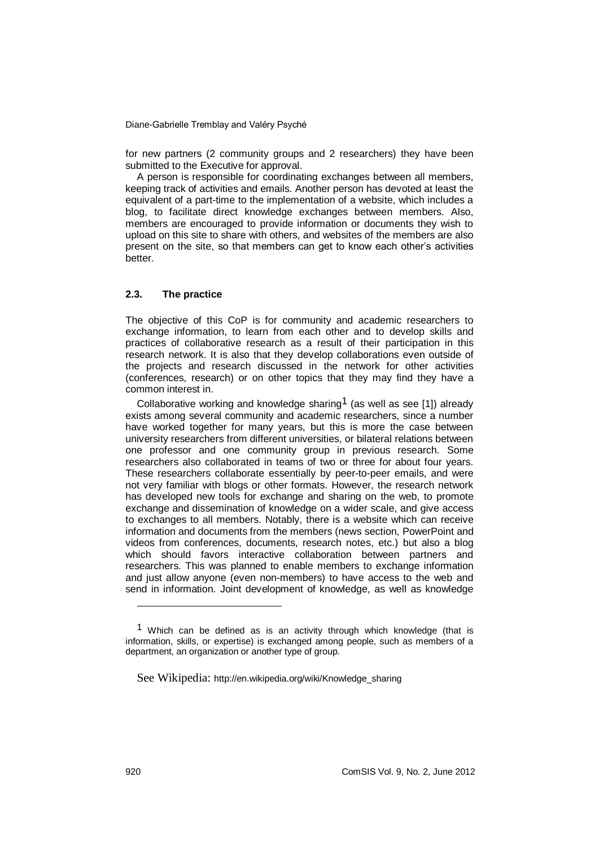for new partners (2 community groups and 2 researchers) they have been submitted to the Executive for approval.

A person is responsible for coordinating exchanges between all members, keeping track of activities and emails. Another person has devoted at least the equivalent of a part-time to the implementation of a website, which includes a blog, to facilitate direct knowledge exchanges between members. Also, members are encouraged to provide information or documents they wish to upload on this site to share with others, and websites of the members are also present on the site, so that members can get to know each other's activities better.

### **2.3. The practice**

The objective of this CoP is for community and academic researchers to exchange information, to learn from each other and to develop skills and practices of collaborative research as a result of their participation in this research network. It is also that they develop collaborations even outside of the projects and research discussed in the network for other activities (conferences, research) or on other topics that they may find they have a common interest in.

Collaborative working and knowledge sharing<sup>1</sup> (as well as see [1]) already exists among several community and academic researchers, since a number have worked together for many years, but this is more the case between university researchers from different universities, or bilateral relations between one professor and one community group in previous research. Some researchers also collaborated in teams of two or three for about four years. These researchers collaborate essentially by peer-to-peer emails, and were not very familiar with blogs or other formats. However, the research network has developed new tools for exchange and sharing on the web, to promote exchange and dissemination of knowledge on a wider scale, and give access to exchanges to all members. Notably, there is a website which can receive information and documents from the members (news section, PowerPoint and videos from conferences, documents, research notes, etc.) but also a blog which should favors interactive collaboration between partners and researchers. This was planned to enable members to exchange information and just allow anyone (even non-members) to have access to the web and send in information. Joint development of knowledge, as well as knowledge

-

 $1$  Which can be defined as is an activity through which [knowledge](http://en.wikipedia.org/wiki/Knowledge) (that is [information,](http://en.wikipedia.org/wiki/Information) [skills,](http://en.wikipedia.org/wiki/Skills) or [expertise\)](http://en.wikipedia.org/wiki/Expertise) is exchanged among people, such as members of a department, an organization or another type of group.

See Wikipedia: [http://en.wikipedia.org/wiki/Knowledge\\_sharing](http://en.wikipedia.org/wiki/Knowledge_sharing)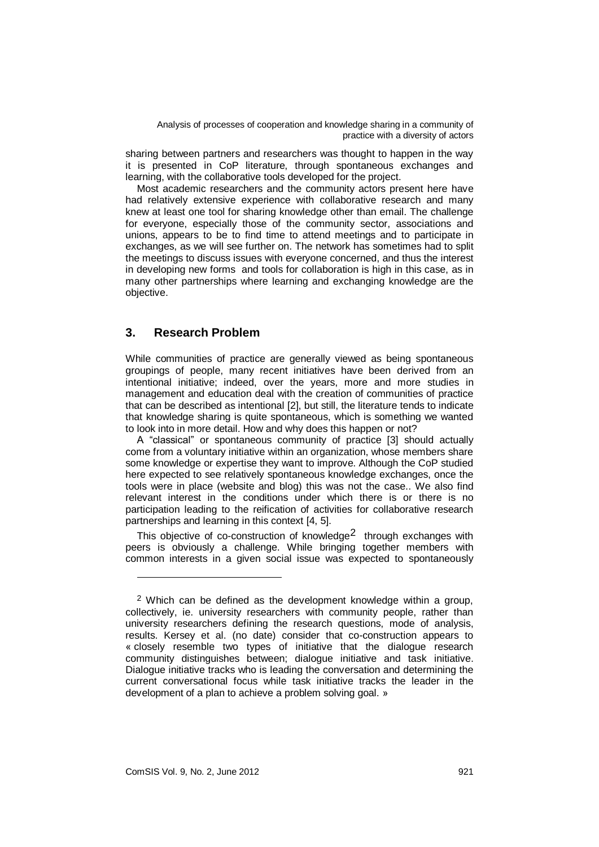sharing between partners and researchers was thought to happen in the way it is presented in CoP literature, through spontaneous exchanges and learning, with the collaborative tools developed for the project.

Most academic researchers and the community actors present here have had relatively extensive experience with collaborative research and many knew at least one tool for sharing knowledge other than email. The challenge for everyone, especially those of the community sector, associations and unions, appears to be to find time to attend meetings and to participate in exchanges, as we will see further on. The network has sometimes had to split the meetings to discuss issues with everyone concerned, and thus the interest in developing new forms and tools for collaboration is high in this case, as in many other partnerships where learning and exchanging knowledge are the objective.

# **3. Research Problem**

While communities of practice are generally viewed as being spontaneous groupings of people, many recent initiatives have been derived from an intentional initiative; indeed, over the years, more and more studies in management and education deal with the creation of communities of practice that can be described as intentional [2], but still, the literature tends to indicate that knowledge sharing is quite spontaneous, which is something we wanted to look into in more detail. How and why does this happen or not?

A "classical" or spontaneous community of practice [3] should actually come from a voluntary initiative within an organization, whose members share some knowledge or expertise they want to improve. Although the CoP studied here expected to see relatively spontaneous knowledge exchanges, once the tools were in place (website and blog) this was not the case.. We also find relevant interest in the conditions under which there is or there is no participation leading to the reification of activities for collaborative research partnerships and learning in this context [4, 5].

This objective of co-construction of knowledge<sup>2</sup> through exchanges with peers is obviously a challenge. While bringing together members with common interests in a given social issue was expected to spontaneously

1

 $2$  Which can be defined as the development knowledge within a group, collectively, ie. university researchers with community people, rather than university researchers defining the research questions, mode of analysis, results. Kersey et al. (no date) consider that co-construction appears to « closely resemble two types of initiative that the dialogue research community distinguishes between; dialogue initiative and task initiative. Dialogue initiative tracks who is leading the conversation and determining the current conversational focus while task initiative tracks the leader in the development of a plan to achieve a problem solving goal. »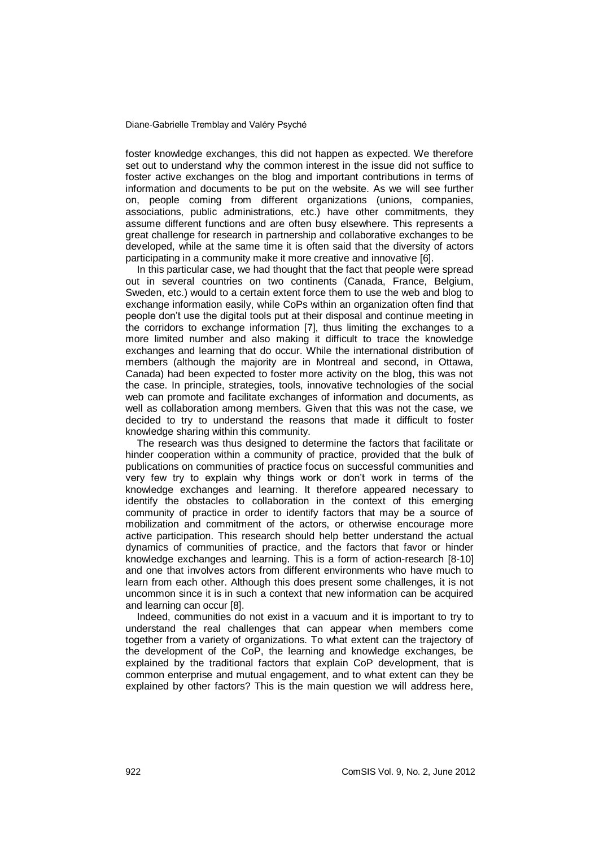foster knowledge exchanges, this did not happen as expected. We therefore set out to understand why the common interest in the issue did not suffice to foster active exchanges on the blog and important contributions in terms of information and documents to be put on the website. As we will see further on, people coming from different organizations (unions, companies, associations, public administrations, etc.) have other commitments, they assume different functions and are often busy elsewhere. This represents a great challenge for research in partnership and collaborative exchanges to be developed, while at the same time it is often said that the diversity of actors participating in a community make it more creative and innovative [6].

In this particular case, we had thought that the fact that people were spread out in several countries on two continents (Canada, France, Belgium, Sweden, etc.) would to a certain extent force them to use the web and blog to exchange information easily, while CoPs within an organization often find that people don't use the digital tools put at their disposal and continue meeting in the corridors to exchange information [7], thus limiting the exchanges to a more limited number and also making it difficult to trace the knowledge exchanges and learning that do occur. While the international distribution of members (although the majority are in Montreal and second, in Ottawa, Canada) had been expected to foster more activity on the blog, this was not the case. In principle, strategies, tools, innovative technologies of the social web can promote and facilitate exchanges of information and documents, as well as collaboration among members. Given that this was not the case, we decided to try to understand the reasons that made it difficult to foster knowledge sharing within this community.

The research was thus designed to determine the factors that facilitate or hinder cooperation within a community of practice, provided that the bulk of publications on communities of practice focus on successful communities and very few try to explain why things work or don't work in terms of the knowledge exchanges and learning. It therefore appeared necessary to identify the obstacles to collaboration in the context of this emerging community of practice in order to identify factors that may be a source of mobilization and commitment of the actors, or otherwise encourage more active participation. This research should help better understand the actual dynamics of communities of practice, and the factors that favor or hinder knowledge exchanges and learning. This is a form of action-research [8-10] and one that involves actors from different environments who have much to learn from each other. Although this does present some challenges, it is not uncommon since it is in such a context that new information can be acquired and learning can occur [8].

Indeed, communities do not exist in a vacuum and it is important to try to understand the real challenges that can appear when members come together from a variety of organizations. To what extent can the trajectory of the development of the CoP, the learning and knowledge exchanges, be explained by the traditional factors that explain CoP development, that is common enterprise and mutual engagement, and to what extent can they be explained by other factors? This is the main question we will address here,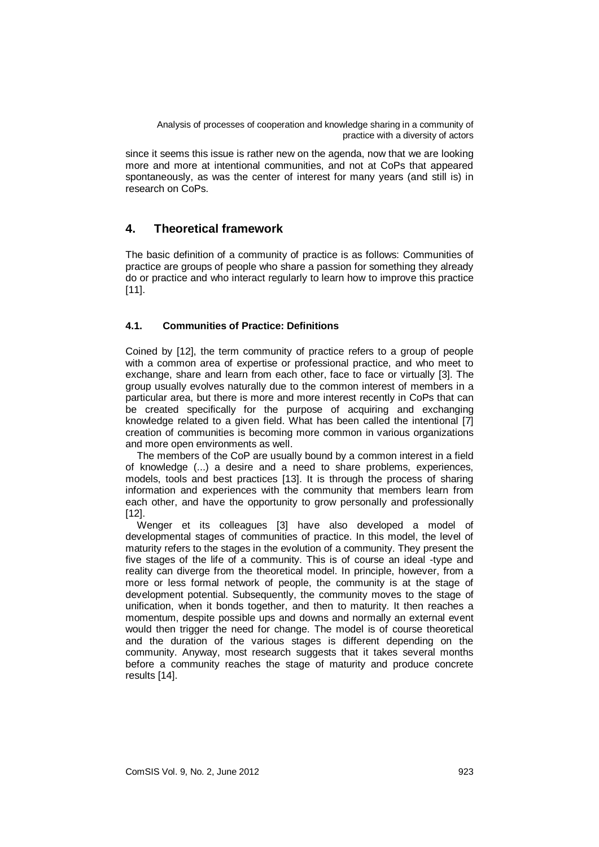since it seems this issue is rather new on the agenda, now that we are looking more and more at intentional communities, and not at CoPs that appeared spontaneously, as was the center of interest for many years (and still is) in research on CoPs.

# **4. Theoretical framework**

The basic definition of a community of practice is as follows: Communities of practice are groups of people who share a passion for something they already do or practice and who interact regularly to learn how to improve this practice [11].

# **4.1. Communities of Practice: Definitions**

Coined by [12], the term community of practice refers to a group of people with a common area of expertise or professional practice, and who meet to exchange, share and learn from each other, face to face or virtually [3]. The group usually evolves naturally due to the common interest of members in a particular area, but there is more and more interest recently in CoPs that can be created specifically for the purpose of acquiring and exchanging knowledge related to a given field. What has been called the intentional [7] creation of communities is becoming more common in various organizations and more open environments as well.

The members of the CoP are usually bound by a common interest in a field of knowledge (...) a desire and a need to share problems, experiences, models, tools and best practices [13]. It is through the process of sharing information and experiences with the community that members learn from each other, and have the opportunity to grow personally and professionally [12].

Wenger et its colleagues [3] have also developed a model of developmental stages of communities of practice. In this model, the level of maturity refers to the stages in the evolution of a community. They present the five stages of the life of a community. This is of course an ideal -type and reality can diverge from the theoretical model. In principle, however, from a more or less formal network of people, the community is at the stage of development potential. Subsequently, the community moves to the stage of unification, when it bonds together, and then to maturity. It then reaches a momentum, despite possible ups and downs and normally an external event would then trigger the need for change. The model is of course theoretical and the duration of the various stages is different depending on the community. Anyway, most research suggests that it takes several months before a community reaches the stage of maturity and produce concrete results [14].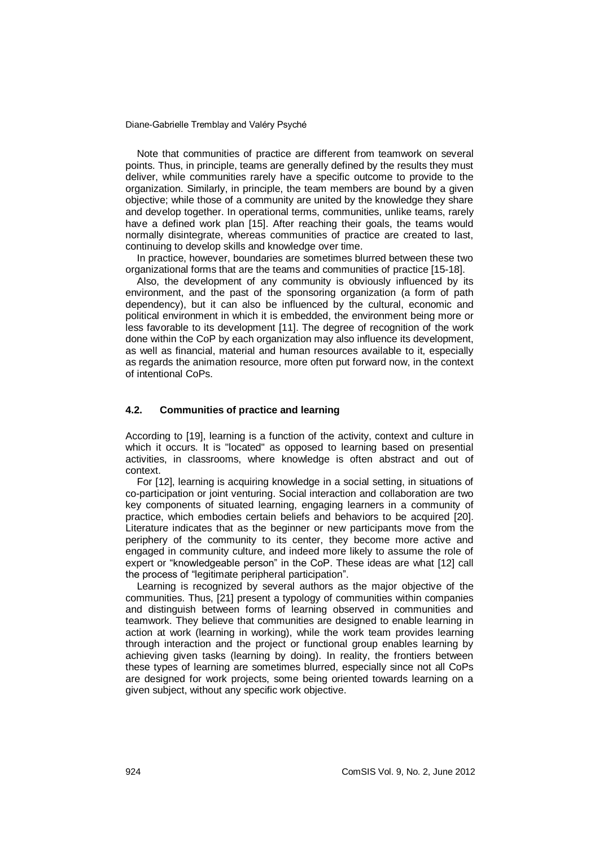Note that communities of practice are different from teamwork on several points. Thus, in principle, teams are generally defined by the results they must deliver, while communities rarely have a specific outcome to provide to the organization. Similarly, in principle, the team members are bound by a given objective; while those of a community are united by the knowledge they share and develop together. In operational terms, communities, unlike teams, rarely have a defined work plan [15]. After reaching their goals, the teams would normally disintegrate, whereas communities of practice are created to last, continuing to develop skills and knowledge over time.

In practice, however, boundaries are sometimes blurred between these two organizational forms that are the teams and communities of practice [15-18].

Also, the development of any community is obviously influenced by its environment, and the past of the sponsoring organization (a form of path dependency), but it can also be influenced by the cultural, economic and political environment in which it is embedded, the environment being more or less favorable to its development [11]. The degree of recognition of the work done within the CoP by each organization may also influence its development, as well as financial, material and human resources available to it, especially as regards the animation resource, more often put forward now, in the context of intentional CoPs.

#### **4.2. Communities of practice and learning**

According to [19], learning is a function of the activity, context and culture in which it occurs. It is "located" as opposed to learning based on presential activities, in classrooms, where knowledge is often abstract and out of context.

For [12], learning is acquiring knowledge in a social setting, in situations of co-participation or joint venturing. Social interaction and collaboration are two key components of situated learning, engaging learners in a community of practice, which embodies certain beliefs and behaviors to be acquired [20]. Literature indicates that as the beginner or new participants move from the periphery of the community to its center, they become more active and engaged in community culture, and indeed more likely to assume the role of expert or "knowledgeable person" in the CoP. These ideas are what [12] call the process of "legitimate peripheral participation".

Learning is recognized by several authors as the major objective of the communities. Thus, [21] present a typology of communities within companies and distinguish between forms of learning observed in communities and teamwork. They believe that communities are designed to enable learning in action at work (learning in working), while the work team provides learning through interaction and the project or functional group enables learning by achieving given tasks (learning by doing). In reality, the frontiers between these types of learning are sometimes blurred, especially since not all CoPs are designed for work projects, some being oriented towards learning on a given subject, without any specific work objective.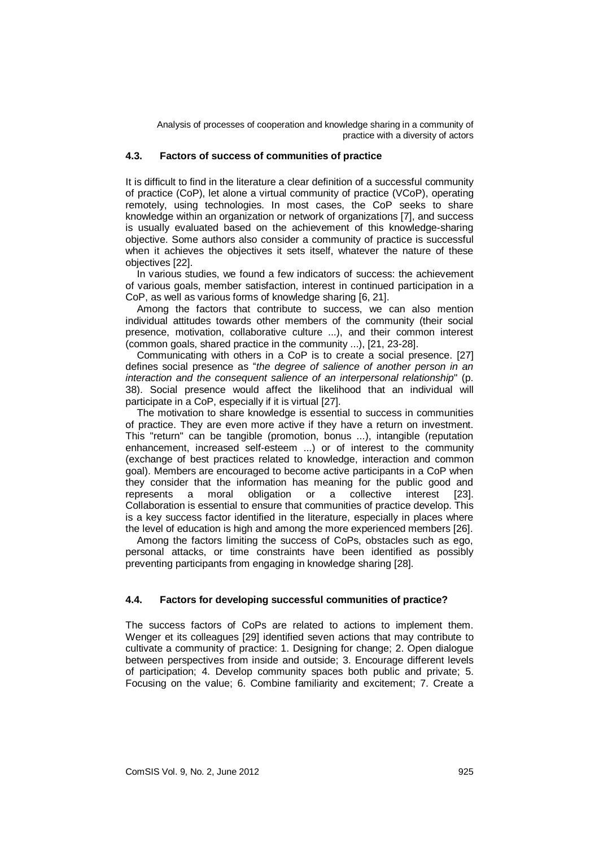### **4.3. Factors of success of communities of practice**

It is difficult to find in the literature a clear definition of a successful community of practice (CoP), let alone a virtual community of practice (VCoP), operating remotely, using technologies. In most cases, the CoP seeks to share knowledge within an organization or network of organizations [7], and success is usually evaluated based on the achievement of this knowledge-sharing objective. Some authors also consider a community of practice is successful when it achieves the objectives it sets itself, whatever the nature of these objectives [22].

In various studies, we found a few indicators of success: the achievement of various goals, member satisfaction, interest in continued participation in a CoP, as well as various forms of knowledge sharing [6, 21].

Among the factors that contribute to success, we can also mention individual attitudes towards other members of the community (their social presence, motivation, collaborative culture ...), and their common interest (common goals, shared practice in the community ...), [21, 23-28].

Communicating with others in a CoP is to create a social presence. [27] defines social presence as "*the degree of salience of another person in an interaction and the consequent salience of an interpersonal relationship*" (p. 38). Social presence would affect the likelihood that an individual will participate in a CoP, especially if it is virtual [27].

The motivation to share knowledge is essential to success in communities of practice. They are even more active if they have a return on investment. This "return" can be tangible (promotion, bonus ...), intangible (reputation enhancement, increased self-esteem ...) or of interest to the community (exchange of best practices related to knowledge, interaction and common goal). Members are encouraged to become active participants in a CoP when they consider that the information has meaning for the public good and represents a moral obligation or a collective interest [23]. Collaboration is essential to ensure that communities of practice develop. This is a key success factor identified in the literature, especially in places where the level of education is high and among the more experienced members [26].

Among the factors limiting the success of CoPs, obstacles such as ego, personal attacks, or time constraints have been identified as possibly preventing participants from engaging in knowledge sharing [28].

### **4.4. Factors for developing successful communities of practice?**

The success factors of CoPs are related to actions to implement them. Wenger et its colleagues [29] identified seven actions that may contribute to cultivate a community of practice: 1. Designing for change; 2. Open dialogue between perspectives from inside and outside; 3. Encourage different levels of participation; 4. Develop community spaces both public and private; 5. Focusing on the value; 6. Combine familiarity and excitement; 7. Create a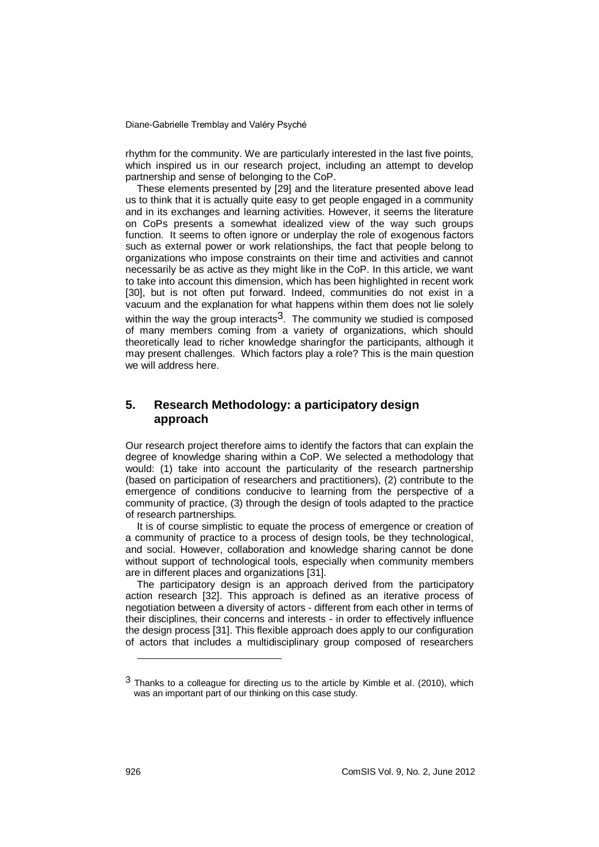rhythm for the community. We are particularly interested in the last five points, which inspired us in our research project, including an attempt to develop partnership and sense of belonging to the CoP.

These elements presented by [29] and the literature presented above lead us to think that it is actually quite easy to get people engaged in a community and in its exchanges and learning activities. However, it seems the literature on CoPs presents a somewhat idealized view of the way such groups function. It seems to often ignore or underplay the role of exogenous factors such as external power or work relationships, the fact that people belong to organizations who impose constraints on their time and activities and cannot necessarily be as active as they might like in the CoP. In this article, we want to take into account this dimension, which has been highlighted in recent work [30], but is not often put forward. Indeed, communities do not exist in a vacuum and the explanation for what happens within them does not lie solely

within the way the group interacts<sup>3</sup>. The community we studied is composed of many members coming from a variety of organizations, which should theoretically lead to richer knowledge sharingfor the participants, although it may present challenges. Which factors play a role? This is the main question we will address here.

# **5. Research Methodology: a participatory design approach**

Our research project therefore aims to identify the factors that can explain the degree of knowledge sharing within a CoP. We selected a methodology that would: (1) take into account the particularity of the research partnership (based on participation of researchers and practitioners), (2) contribute to the emergence of conditions conducive to learning from the perspective of a community of practice, (3) through the design of tools adapted to the practice of research partnerships.

It is of course simplistic to equate the process of emergence or creation of a community of practice to a process of design tools, be they technological, and social. However, collaboration and knowledge sharing cannot be done without support of technological tools, especially when community members are in different places and organizations [31].

The participatory design is an approach derived from the participatory action research [32]. This approach is defined as an iterative process of negotiation between a diversity of actors - different from each other in terms of their disciplines, their concerns and interests - in order to effectively influence the design process [31]. This flexible approach does apply to our configuration of actors that includes a multidisciplinary group composed of researchers

1

<sup>3</sup> Thanks to a colleague for directing us to the article by Kimble et al. (2010), which was an important part of our thinking on this case study.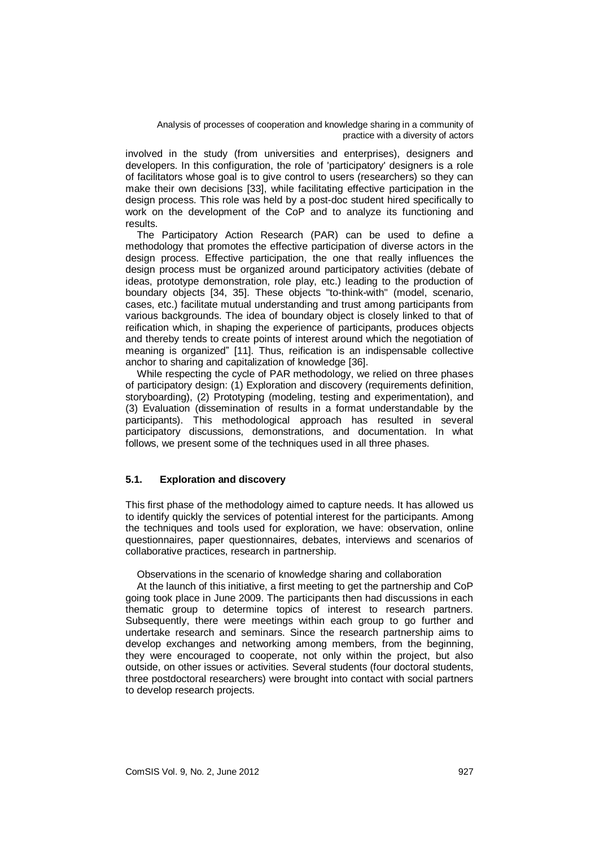involved in the study (from universities and enterprises), designers and developers. In this configuration, the role of 'participatory' designers is a role of facilitators whose goal is to give control to users (researchers) so they can make their own decisions [33], while facilitating effective participation in the design process. This role was held by a post-doc student hired specifically to work on the development of the CoP and to analyze its functioning and results.

The Participatory Action Research (PAR) can be used to define a methodology that promotes the effective participation of diverse actors in the design process. Effective participation, the one that really influences the design process must be organized around participatory activities (debate of ideas, prototype demonstration, role play, etc.) leading to the production of boundary objects [34, 35]. These objects "to-think-with" (model, scenario, cases, etc.) facilitate mutual understanding and trust among participants from various backgrounds. The idea of boundary object is closely linked to that of reification which, in shaping the experience of participants, produces objects and thereby tends to create points of interest around which the negotiation of meaning is organized" [11]. Thus, reification is an indispensable collective anchor to sharing and capitalization of knowledge [36].

While respecting the cycle of PAR methodology, we relied on three phases of participatory design: (1) Exploration and discovery (requirements definition, storyboarding), (2) Prototyping (modeling, testing and experimentation), and (3) Evaluation (dissemination of results in a format understandable by the participants). This methodological approach has resulted in several participatory discussions, demonstrations, and documentation. In what follows, we present some of the techniques used in all three phases.

# **5.1. Exploration and discovery**

This first phase of the methodology aimed to capture needs. It has allowed us to identify quickly the services of potential interest for the participants. Among the techniques and tools used for exploration, we have: observation, online questionnaires, paper questionnaires, debates, interviews and scenarios of collaborative practices, research in partnership.

Observations in the scenario of knowledge sharing and collaboration

At the launch of this initiative, a first meeting to get the partnership and CoP going took place in June 2009. The participants then had discussions in each thematic group to determine topics of interest to research partners. Subsequently, there were meetings within each group to go further and undertake research and seminars. Since the research partnership aims to develop exchanges and networking among members, from the beginning, they were encouraged to cooperate, not only within the project, but also outside, on other issues or activities. Several students (four doctoral students, three postdoctoral researchers) were brought into contact with social partners to develop research projects.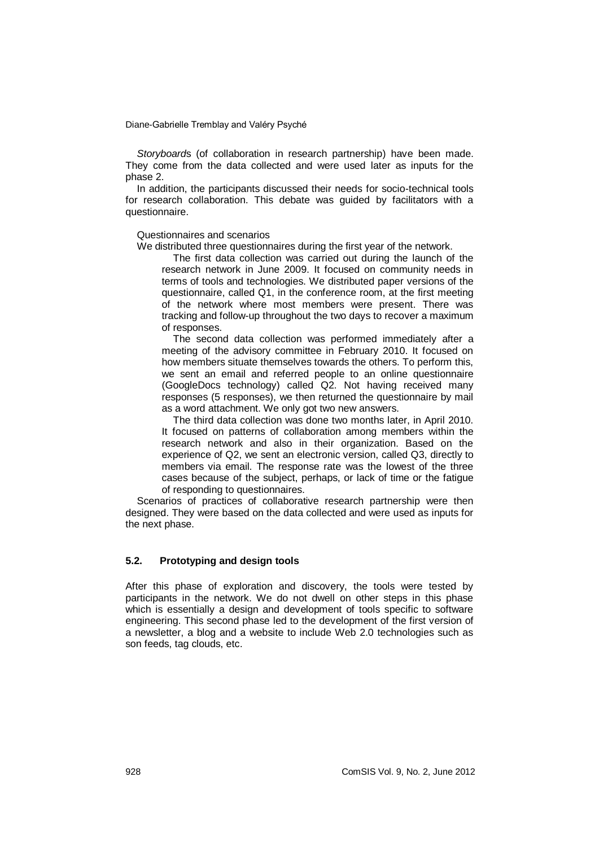*Storyboard*s (of collaboration in research partnership) have been made. They come from the data collected and were used later as inputs for the phase 2.

In addition, the participants discussed their needs for socio-technical tools for research collaboration. This debate was guided by facilitators with a questionnaire.

Questionnaires and scenarios

We distributed three questionnaires during the first year of the network.

The first data collection was carried out during the launch of the research network in June 2009. It focused on community needs in terms of tools and technologies. We distributed paper versions of the questionnaire, called Q1, in the conference room, at the first meeting of the network where most members were present. There was tracking and follow-up throughout the two days to recover a maximum of responses.

The second data collection was performed immediately after a meeting of the advisory committee in February 2010. It focused on how members situate themselves towards the others. To perform this, we sent an email and referred people to an online questionnaire (GoogleDocs technology) called Q2. Not having received many responses (5 responses), we then returned the questionnaire by mail as a word attachment. We only got two new answers.

The third data collection was done two months later, in April 2010. It focused on patterns of collaboration among members within the research network and also in their organization. Based on the experience of Q2, we sent an electronic version, called Q3, directly to members via email. The response rate was the lowest of the three cases because of the subject, perhaps, or lack of time or the fatigue of responding to questionnaires.

Scenarios of practices of collaborative research partnership were then designed. They were based on the data collected and were used as inputs for the next phase.

### **5.2. Prototyping and design tools**

After this phase of exploration and discovery, the tools were tested by participants in the network. We do not dwell on other steps in this phase which is essentially a design and development of tools specific to software engineering. This second phase led to the development of the first version of a newsletter, a blog and a website to include Web 2.0 technologies such as son feeds, tag clouds, etc.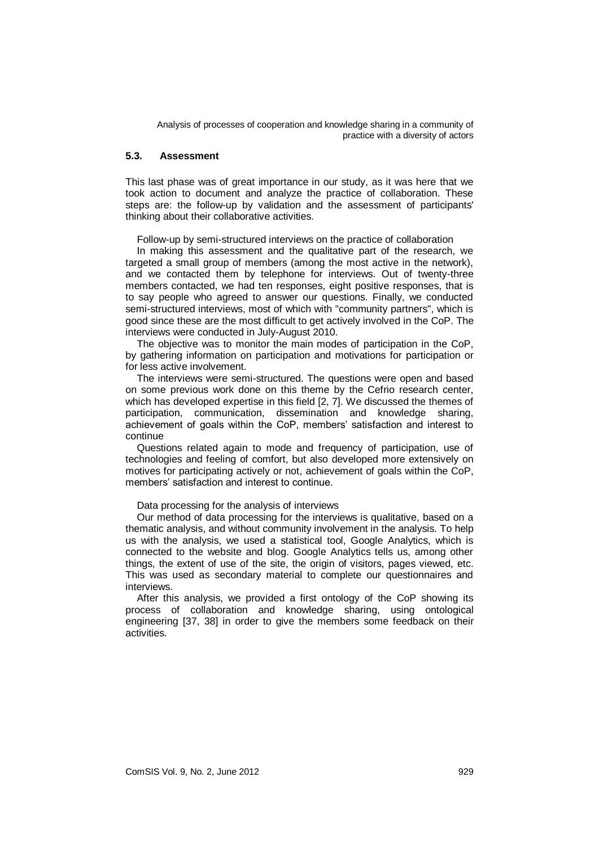#### **5.3. Assessment**

This last phase was of great importance in our study, as it was here that we took action to document and analyze the practice of collaboration. These steps are: the follow-up by validation and the assessment of participants' thinking about their collaborative activities.

Follow-up by semi-structured interviews on the practice of collaboration

In making this assessment and the qualitative part of the research, we targeted a small group of members (among the most active in the network), and we contacted them by telephone for interviews. Out of twenty-three members contacted, we had ten responses, eight positive responses, that is to say people who agreed to answer our questions. Finally, we conducted semi-structured interviews, most of which with "community partners", which is good since these are the most difficult to get actively involved in the CoP. The interviews were conducted in July-August 2010.

The objective was to monitor the main modes of participation in the CoP, by gathering information on participation and motivations for participation or for less active involvement.

The interviews were semi-structured. The questions were open and based on some previous work done on this theme by the Cefrio research center, which has developed expertise in this field [2, 7]. We discussed the themes of participation, communication, dissemination and knowledge sharing, achievement of goals within the CoP, members' satisfaction and interest to continue

Questions related again to mode and frequency of participation, use of technologies and feeling of comfort, but also developed more extensively on motives for participating actively or not, achievement of goals within the CoP, members' satisfaction and interest to continue.

#### Data processing for the analysis of interviews

Our method of data processing for the interviews is qualitative, based on a thematic analysis, and without community involvement in the analysis. To help us with the analysis, we used a statistical tool, Google Analytics, which is connected to the website and blog. Google Analytics tells us, among other things, the extent of use of the site, the origin of visitors, pages viewed, etc. This was used as secondary material to complete our questionnaires and interviews.

After this analysis, we provided a first ontology of the CoP showing its process of collaboration and knowledge sharing, using ontological engineering [37, 38] in order to give the members some feedback on their activities.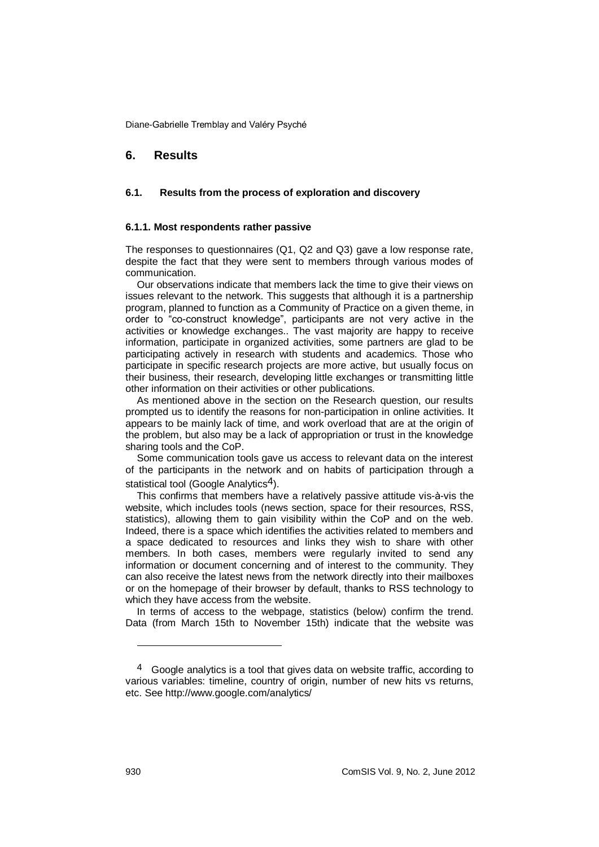# **6. Results**

#### **6.1. Results from the process of exploration and discovery**

#### **6.1.1. Most respondents rather passive**

The responses to questionnaires (Q1, Q2 and Q3) gave a low response rate, despite the fact that they were sent to members through various modes of communication.

Our observations indicate that members lack the time to give their views on issues relevant to the network. This suggests that although it is a partnership program, planned to function as a Community of Practice on a given theme, in order to "co-construct knowledge", participants are not very active in the activities or knowledge exchanges.. The vast majority are happy to receive information, participate in organized activities, some partners are glad to be participating actively in research with students and academics. Those who participate in specific research projects are more active, but usually focus on their business, their research, developing little exchanges or transmitting little other information on their activities or other publications.

As mentioned above in the section on the Research question, our results prompted us to identify the reasons for non-participation in online activities. It appears to be mainly lack of time, and work overload that are at the origin of the problem, but also may be a lack of appropriation or trust in the knowledge sharing tools and the CoP.

Some communication tools gave us access to relevant data on the interest of the participants in the network and on habits of participation through a statistical tool (Google Analytics<sup>4</sup>).

This confirms that members have a relatively passive attitude vis-à-vis the website, which includes tools (news section, space for their resources, RSS, statistics), allowing them to gain visibility within the CoP and on the web. Indeed, there is a space which identifies the activities related to members and a space dedicated to resources and links they wish to share with other members. In both cases, members were regularly invited to send any information or document concerning and of interest to the community. They can also receive the latest news from the network directly into their mailboxes or on the homepage of their browser by default, thanks to RSS technology to which they have access from the website.

In terms of access to the webpage, statistics (below) confirm the trend. Data (from March 15th to November 15th) indicate that the website was

1

<sup>4</sup> Google analytics is a tool that gives data on website traffic, according to various variables: timeline, country of origin, number of new hits vs returns, etc. See http://www.google.com/analytics/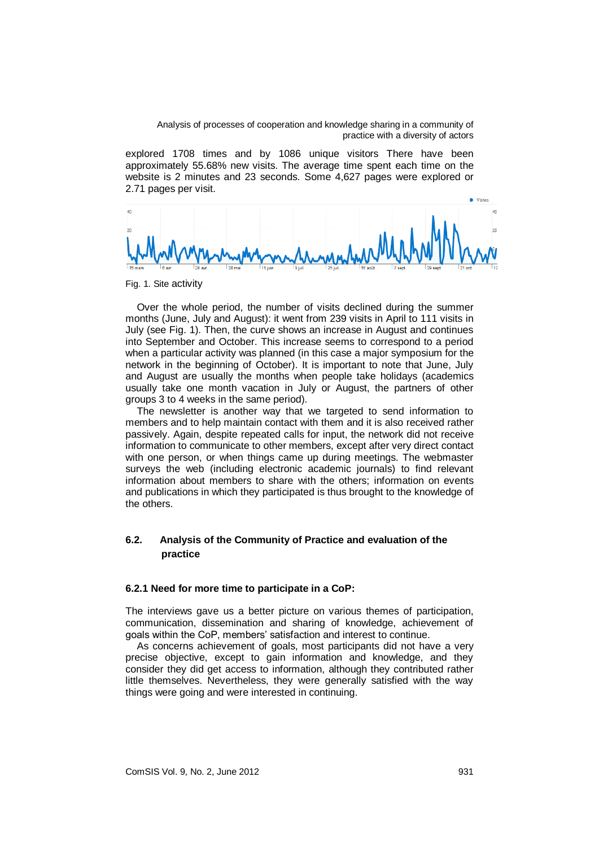explored 1708 times and by 1086 unique visitors There have been approximately 55.68% new visits. The average time spent each time on the website is 2 minutes and 23 seconds. Some 4,627 pages were explored or 2.71 pages per visit.



Fig. 1. Site activity

Over the whole period, the number of visits declined during the summer months (June, July and August): it went from 239 visits in April to 111 visits in July (see Fig. 1). Then, the curve shows an increase in August and continues into September and October. This increase seems to correspond to a period when a particular activity was planned (in this case a major symposium for the network in the beginning of October). It is important to note that June, July and August are usually the months when people take holidays (academics usually take one month vacation in July or August, the partners of other groups 3 to 4 weeks in the same period).

The newsletter is another way that we targeted to send information to members and to help maintain contact with them and it is also received rather passively. Again, despite repeated calls for input, the network did not receive information to communicate to other members, except after very direct contact with one person, or when things came up during meetings. The webmaster surveys the web (including electronic academic journals) to find relevant information about members to share with the others; information on events and publications in which they participated is thus brought to the knowledge of the others.

# **6.2. Analysis of the Community of Practice and evaluation of the practice**

#### **6.2.1 Need for more time to participate in a CoP:**

The interviews gave us a better picture on various themes of participation, communication, dissemination and sharing of knowledge, achievement of goals within the CoP, members' satisfaction and interest to continue.

As concerns achievement of goals, most participants did not have a very precise objective, except to gain information and knowledge, and they consider they did get access to information, although they contributed rather little themselves. Nevertheless, they were generally satisfied with the way things were going and were interested in continuing.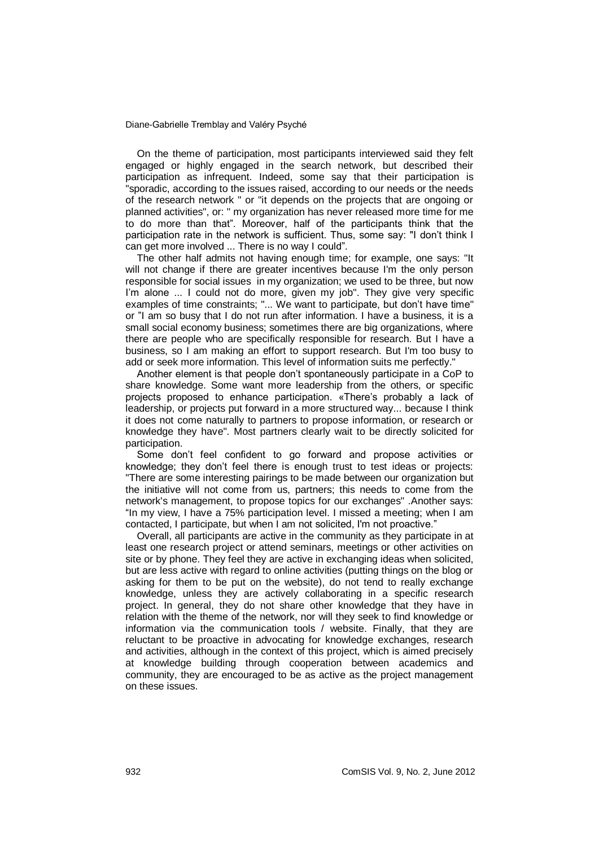On the theme of participation, most participants interviewed said they felt engaged or highly engaged in the search network, but described their participation as infrequent. Indeed, some say that their participation is "sporadic, according to the issues raised, according to our needs or the needs of the research network " or "it depends on the projects that are ongoing or planned activities", or: " my organization has never released more time for me to do more than that". Moreover, half of the participants think that the participation rate in the network is sufficient. Thus, some say: "I don't think I can get more involved ... There is no way I could".

The other half admits not having enough time; for example, one says: "It will not change if there are greater incentives because I'm the only person responsible for social issues in my organization; we used to be three, but now I'm alone ... I could not do more, given my job". They give very specific examples of time constraints; "... We want to participate, but don't have time" or "I am so busy that I do not run after information. I have a business, it is a small social economy business; sometimes there are big organizations, where there are people who are specifically responsible for research. But I have a business, so I am making an effort to support research. But I'm too busy to add or seek more information. This level of information suits me perfectly."

Another element is that people don't spontaneously participate in a CoP to share knowledge. Some want more leadership from the others, or specific projects proposed to enhance participation. «There's probably a lack of leadership, or projects put forward in a more structured way... because I think it does not come naturally to partners to propose information, or research or knowledge they have". Most partners clearly wait to be directly solicited for participation.

Some don't feel confident to go forward and propose activities or knowledge; they don't feel there is enough trust to test ideas or projects: "There are some interesting pairings to be made between our organization but the initiative will not come from us, partners; this needs to come from the network's management, to propose topics for our exchanges" .Another says: "In my view, I have a 75% participation level. I missed a meeting; when I am contacted, I participate, but when I am not solicited, I'm not proactive."

Overall, all participants are active in the community as they participate in at least one research project or attend seminars, meetings or other activities on site or by phone. They feel they are active in exchanging ideas when solicited, but are less active with regard to online activities (putting things on the blog or asking for them to be put on the website), do not tend to really exchange knowledge, unless they are actively collaborating in a specific research project. In general, they do not share other knowledge that they have in relation with the theme of the network, nor will they seek to find knowledge or information via the communication tools / website. Finally, that they are reluctant to be proactive in advocating for knowledge exchanges, research and activities, although in the context of this project, which is aimed precisely at knowledge building through cooperation between academics and community, they are encouraged to be as active as the project management on these issues.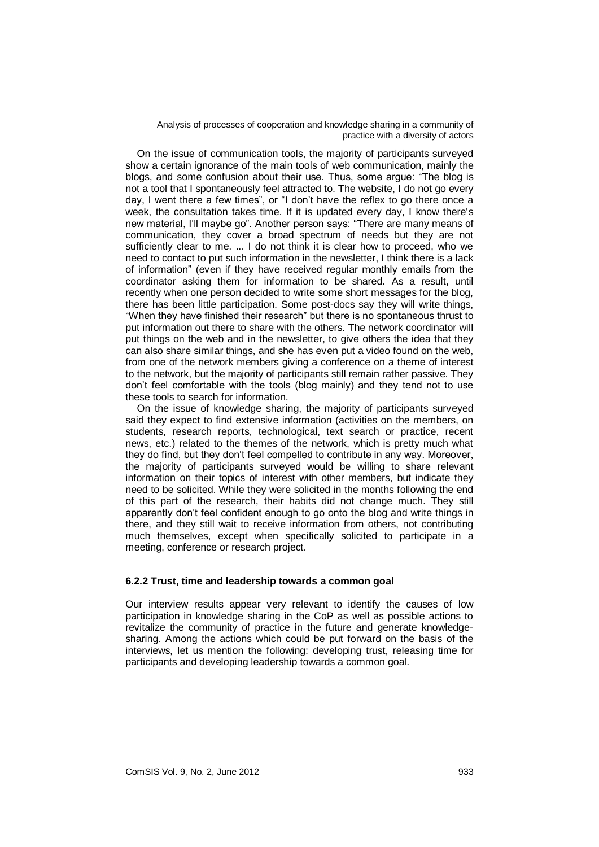On the issue of communication tools, the majority of participants surveyed show a certain ignorance of the main tools of web communication, mainly the blogs, and some confusion about their use. Thus, some argue: "The blog is not a tool that I spontaneously feel attracted to. The website, I do not go every day, I went there a few times", or "I don't have the reflex to go there once a week, the consultation takes time. If it is updated every day, I know there's new material, I'll maybe go". Another person says: "There are many means of communication, they cover a broad spectrum of needs but they are not sufficiently clear to me. ... I do not think it is clear how to proceed, who we need to contact to put such information in the newsletter, I think there is a lack of information" (even if they have received regular monthly emails from the coordinator asking them for information to be shared. As a result, until recently when one person decided to write some short messages for the blog, there has been little participation. Some post-docs say they will write things, "When they have finished their research" but there is no spontaneous thrust to put information out there to share with the others. The network coordinator will put things on the web and in the newsletter, to give others the idea that they can also share similar things, and she has even put a video found on the web, from one of the network members giving a conference on a theme of interest to the network, but the majority of participants still remain rather passive. They don't feel comfortable with the tools (blog mainly) and they tend not to use these tools to search for information.

On the issue of knowledge sharing, the majority of participants surveyed said they expect to find extensive information (activities on the members, on students, research reports, technological, text search or practice, recent news, etc.) related to the themes of the network, which is pretty much what they do find, but they don't feel compelled to contribute in any way. Moreover, the majority of participants surveyed would be willing to share relevant information on their topics of interest with other members, but indicate they need to be solicited. While they were solicited in the months following the end of this part of the research, their habits did not change much. They still apparently don't feel confident enough to go onto the blog and write things in there, and they still wait to receive information from others, not contributing much themselves, except when specifically solicited to participate in a meeting, conference or research project.

#### **6.2.2 Trust, time and leadership towards a common goal**

Our interview results appear very relevant to identify the causes of low participation in knowledge sharing in the CoP as well as possible actions to revitalize the community of practice in the future and generate knowledgesharing. Among the actions which could be put forward on the basis of the interviews, let us mention the following: developing trust, releasing time for participants and developing leadership towards a common goal.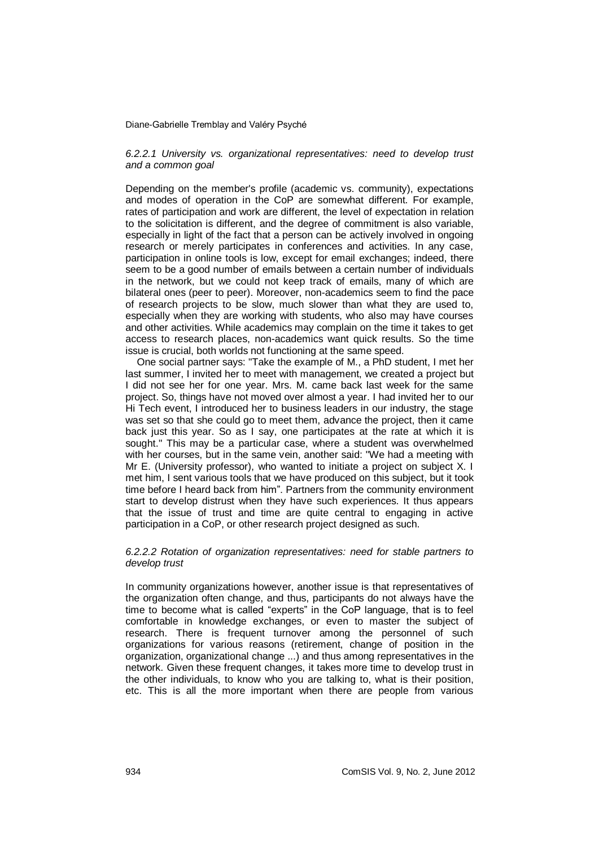#### *6.2.2.1 University vs. organizational representatives: need to develop trust and a common goal*

Depending on the member's profile (academic vs. community), expectations and modes of operation in the CoP are somewhat different. For example, rates of participation and work are different, the level of expectation in relation to the solicitation is different, and the degree of commitment is also variable, especially in light of the fact that a person can be actively involved in ongoing research or merely participates in conferences and activities. In any case, participation in online tools is low, except for email exchanges; indeed, there seem to be a good number of emails between a certain number of individuals in the network, but we could not keep track of emails, many of which are bilateral ones (peer to peer). Moreover, non-academics seem to find the pace of research projects to be slow, much slower than what they are used to, especially when they are working with students, who also may have courses and other activities. While academics may complain on the time it takes to get access to research places, non-academics want quick results. So the time issue is crucial, both worlds not functioning at the same speed.

One social partner says: "Take the example of M., a PhD student, I met her last summer, I invited her to meet with management, we created a project but I did not see her for one year. Mrs. M. came back last week for the same project. So, things have not moved over almost a year. I had invited her to our Hi Tech event, I introduced her to business leaders in our industry, the stage was set so that she could go to meet them, advance the project, then it came back just this year. So as I say, one participates at the rate at which it is sought." This may be a particular case, where a student was overwhelmed with her courses, but in the same vein, another said: "We had a meeting with Mr E. (University professor), who wanted to initiate a project on subject X. I met him, I sent various tools that we have produced on this subject, but it took time before I heard back from him". Partners from the community environment start to develop distrust when they have such experiences. It thus appears that the issue of trust and time are quite central to engaging in active participation in a CoP, or other research project designed as such.

#### *6.2.2.2 Rotation of organization representatives: need for stable partners to develop trust*

In community organizations however, another issue is that representatives of the organization often change, and thus, participants do not always have the time to become what is called "experts" in the CoP language, that is to feel comfortable in knowledge exchanges, or even to master the subject of research. There is frequent turnover among the personnel of such organizations for various reasons (retirement, change of position in the organization, organizational change ...) and thus among representatives in the network. Given these frequent changes, it takes more time to develop trust in the other individuals, to know who you are talking to, what is their position, etc. This is all the more important when there are people from various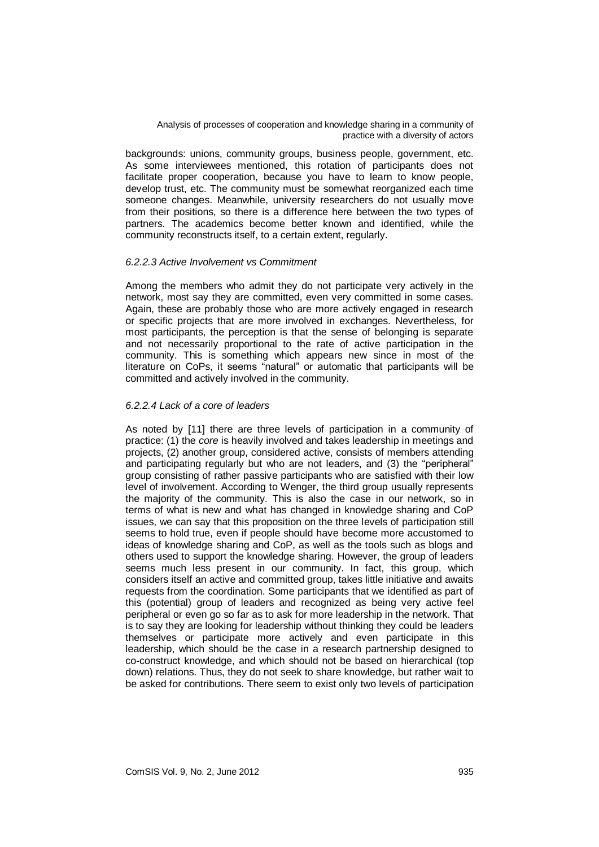backgrounds: unions, community groups, business people, government, etc. As some interviewees mentioned, this rotation of participants does not facilitate proper cooperation, because you have to learn to know people, develop trust, etc. The community must be somewhat reorganized each time someone changes. Meanwhile, university researchers do not usually move from their positions, so there is a difference here between the two types of partners. The academics become better known and identified, while the community reconstructs itself, to a certain extent, regularly.

#### *6.2.2.3 Active Involvement vs Commitment*

Among the members who admit they do not participate very actively in the network, most say they are committed, even very committed in some cases. Again, these are probably those who are more actively engaged in research or specific projects that are more involved in exchanges. Nevertheless, for most participants, the perception is that the sense of belonging is separate and not necessarily proportional to the rate of active participation in the community. This is something which appears new since in most of the literature on CoPs, it seems "natural" or automatic that participants will be committed and actively involved in the community.

#### *6.2.2.4 Lack of a core of leaders*

As noted by [11] there are three levels of participation in a community of practice: (1) the *core* is heavily involved and takes leadership in meetings and projects, (2) another group, considered active, consists of members attending and participating regularly but who are not leaders, and (3) the "peripheral" group consisting of rather passive participants who are satisfied with their low level of involvement. According to Wenger, the third group usually represents the majority of the community. This is also the case in our network, so in terms of what is new and what has changed in knowledge sharing and CoP issues, we can say that this proposition on the three levels of participation still seems to hold true, even if people should have become more accustomed to ideas of knowledge sharing and CoP, as well as the tools such as blogs and others used to support the knowledge sharing. However, the group of leaders seems much less present in our community. In fact, this group, which considers itself an active and committed group, takes little initiative and awaits requests from the coordination. Some participants that we identified as part of this (potential) group of leaders and recognized as being very active feel peripheral or even go so far as to ask for more leadership in the network. That is to say they are looking for leadership without thinking they could be leaders themselves or participate more actively and even participate in this leadership, which should be the case in a research partnership designed to co-construct knowledge, and which should not be based on hierarchical (top down) relations. Thus, they do not seek to share knowledge, but rather wait to be asked for contributions. There seem to exist only two levels of participation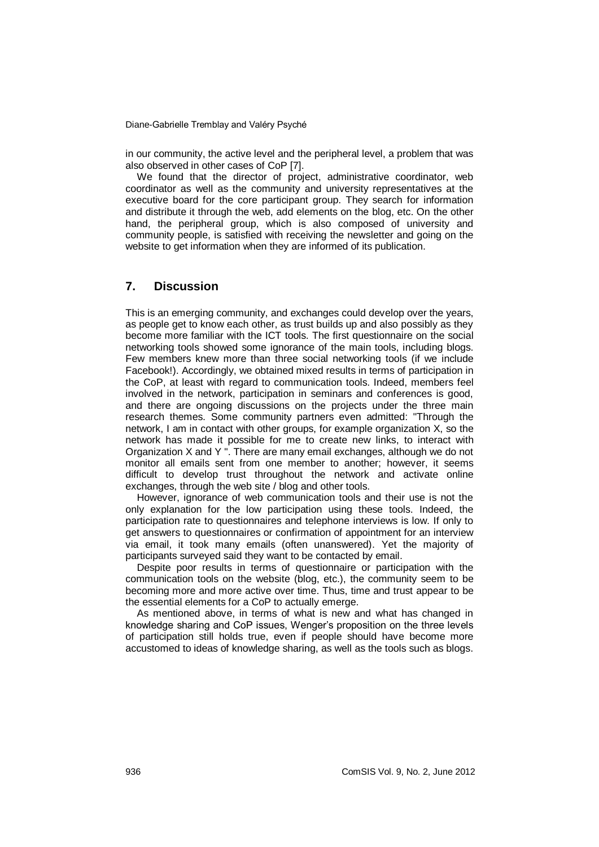in our community, the active level and the peripheral level, a problem that was also observed in other cases of CoP [7].

We found that the director of project, administrative coordinator, web coordinator as well as the community and university representatives at the executive board for the core participant group. They search for information and distribute it through the web, add elements on the blog, etc. On the other hand, the peripheral group, which is also composed of university and community people, is satisfied with receiving the newsletter and going on the website to get information when they are informed of its publication.

## **7. Discussion**

This is an emerging community, and exchanges could develop over the years, as people get to know each other, as trust builds up and also possibly as they become more familiar with the ICT tools. The first questionnaire on the social networking tools showed some ignorance of the main tools, including blogs. Few members knew more than three social networking tools (if we include Facebook!). Accordingly, we obtained mixed results in terms of participation in the CoP, at least with regard to communication tools. Indeed, members feel involved in the network, participation in seminars and conferences is good, and there are ongoing discussions on the projects under the three main research themes. Some community partners even admitted: "Through the network, I am in contact with other groups, for example organization X, so the network has made it possible for me to create new links, to interact with Organization X and Y ". There are many email exchanges, although we do not monitor all emails sent from one member to another; however, it seems difficult to develop trust throughout the network and activate online exchanges, through the web site / blog and other tools.

However, ignorance of web communication tools and their use is not the only explanation for the low participation using these tools. Indeed, the participation rate to questionnaires and telephone interviews is low. If only to get answers to questionnaires or confirmation of appointment for an interview via email, it took many emails (often unanswered). Yet the majority of participants surveyed said they want to be contacted by email.

Despite poor results in terms of questionnaire or participation with the communication tools on the website (blog, etc.), the community seem to be becoming more and more active over time. Thus, time and trust appear to be the essential elements for a CoP to actually emerge.

As mentioned above, in terms of what is new and what has changed in knowledge sharing and CoP issues, Wenger's proposition on the three levels of participation still holds true, even if people should have become more accustomed to ideas of knowledge sharing, as well as the tools such as blogs.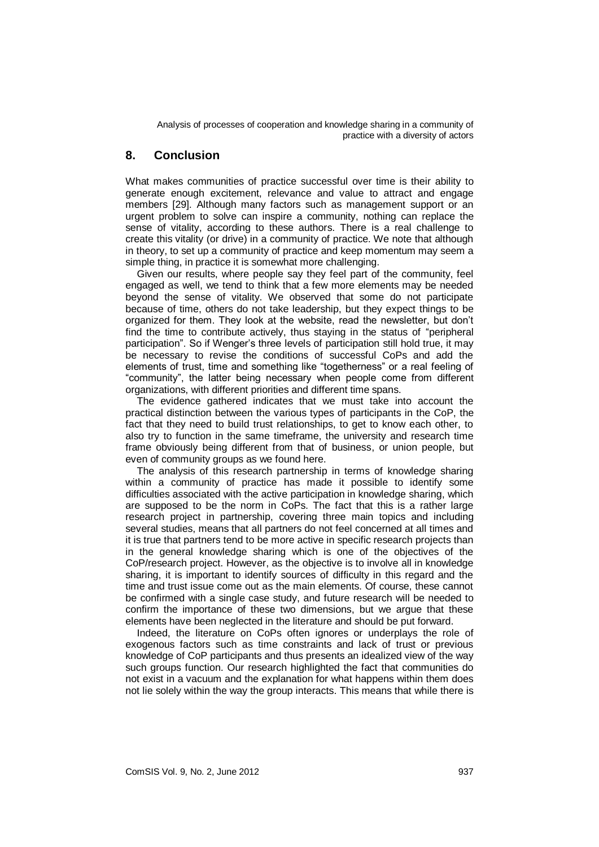# **8. Conclusion**

What makes communities of practice successful over time is their ability to generate enough excitement, relevance and value to attract and engage members [29]. Although many factors such as management support or an urgent problem to solve can inspire a community, nothing can replace the sense of vitality, according to these authors. There is a real challenge to create this vitality (or drive) in a community of practice. We note that although in theory, to set up a community of practice and keep momentum may seem a simple thing, in practice it is somewhat more challenging.

Given our results, where people say they feel part of the community, feel engaged as well, we tend to think that a few more elements may be needed beyond the sense of vitality. We observed that some do not participate because of time, others do not take leadership, but they expect things to be organized for them. They look at the website, read the newsletter, but don't find the time to contribute actively, thus staying in the status of "peripheral participation". So if Wenger's three levels of participation still hold true, it may be necessary to revise the conditions of successful CoPs and add the elements of trust, time and something like "togetherness" or a real feeling of "community", the latter being necessary when people come from different organizations, with different priorities and different time spans.

The evidence gathered indicates that we must take into account the practical distinction between the various types of participants in the CoP, the fact that they need to build trust relationships, to get to know each other, to also try to function in the same timeframe, the university and research time frame obviously being different from that of business, or union people, but even of community groups as we found here.

The analysis of this research partnership in terms of knowledge sharing within a community of practice has made it possible to identify some difficulties associated with the active participation in knowledge sharing, which are supposed to be the norm in CoPs. The fact that this is a rather large research project in partnership, covering three main topics and including several studies, means that all partners do not feel concerned at all times and it is true that partners tend to be more active in specific research projects than in the general knowledge sharing which is one of the objectives of the CoP/research project. However, as the objective is to involve all in knowledge sharing, it is important to identify sources of difficulty in this regard and the time and trust issue come out as the main elements. Of course, these cannot be confirmed with a single case study, and future research will be needed to confirm the importance of these two dimensions, but we argue that these elements have been neglected in the literature and should be put forward.

Indeed, the literature on CoPs often ignores or underplays the role of exogenous factors such as time constraints and lack of trust or previous knowledge of CoP participants and thus presents an idealized view of the way such groups function. Our research highlighted the fact that communities do not exist in a vacuum and the explanation for what happens within them does not lie solely within the way the group interacts. This means that while there is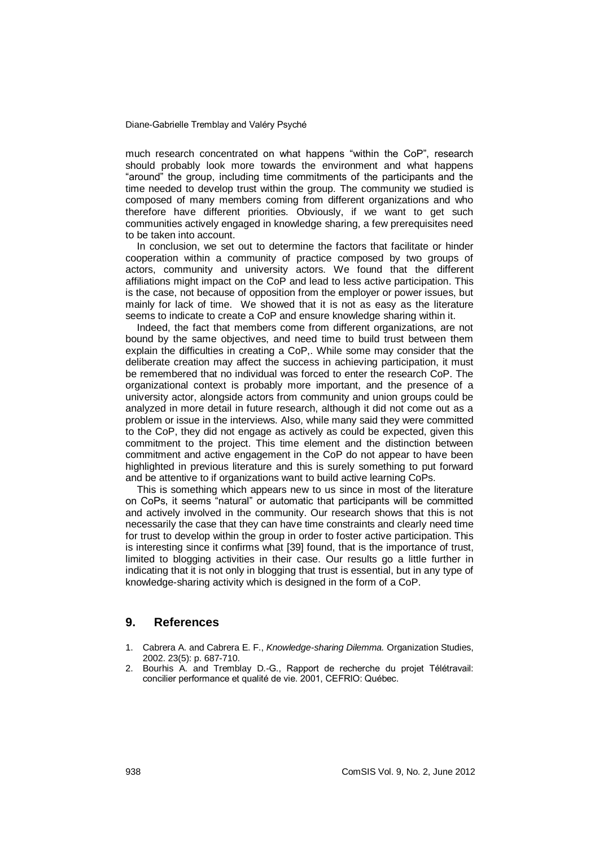much research concentrated on what happens "within the CoP", research should probably look more towards the environment and what happens "around" the group, including time commitments of the participants and the time needed to develop trust within the group. The community we studied is composed of many members coming from different organizations and who therefore have different priorities. Obviously, if we want to get such communities actively engaged in knowledge sharing, a few prerequisites need to be taken into account.

In conclusion, we set out to determine the factors that facilitate or hinder cooperation within a community of practice composed by two groups of actors, community and university actors. We found that the different affiliations might impact on the CoP and lead to less active participation. This is the case, not because of opposition from the employer or power issues, but mainly for lack of time. We showed that it is not as easy as the literature seems to indicate to create a CoP and ensure knowledge sharing within it.

Indeed, the fact that members come from different organizations, are not bound by the same objectives, and need time to build trust between them explain the difficulties in creating a CoP,. While some may consider that the deliberate creation may affect the success in achieving participation, it must be remembered that no individual was forced to enter the research CoP. The organizational context is probably more important, and the presence of a university actor, alongside actors from community and union groups could be analyzed in more detail in future research, although it did not come out as a problem or issue in the interviews. Also, while many said they were committed to the CoP, they did not engage as actively as could be expected, given this commitment to the project. This time element and the distinction between commitment and active engagement in the CoP do not appear to have been highlighted in previous literature and this is surely something to put forward and be attentive to if organizations want to build active learning CoPs.

This is something which appears new to us since in most of the literature on CoPs, it seems "natural" or automatic that participants will be committed and actively involved in the community. Our research shows that this is not necessarily the case that they can have time constraints and clearly need time for trust to develop within the group in order to foster active participation. This is interesting since it confirms what [39] found, that is the importance of trust, limited to blogging activities in their case. Our results go a little further in indicating that it is not only in blogging that trust is essential, but in any type of knowledge-sharing activity which is designed in the form of a CoP.

# **9. References**

- 1. Cabrera A. and Cabrera E. F., *Knowledge-sharing Dilemma.* Organization Studies, 2002. 23(5): p. 687-710.
- 2. Bourhis A. and Tremblay D.-G., Rapport de recherche du projet Télétravail: concilier performance et qualité de vie. 2001, CEFRIO: Québec.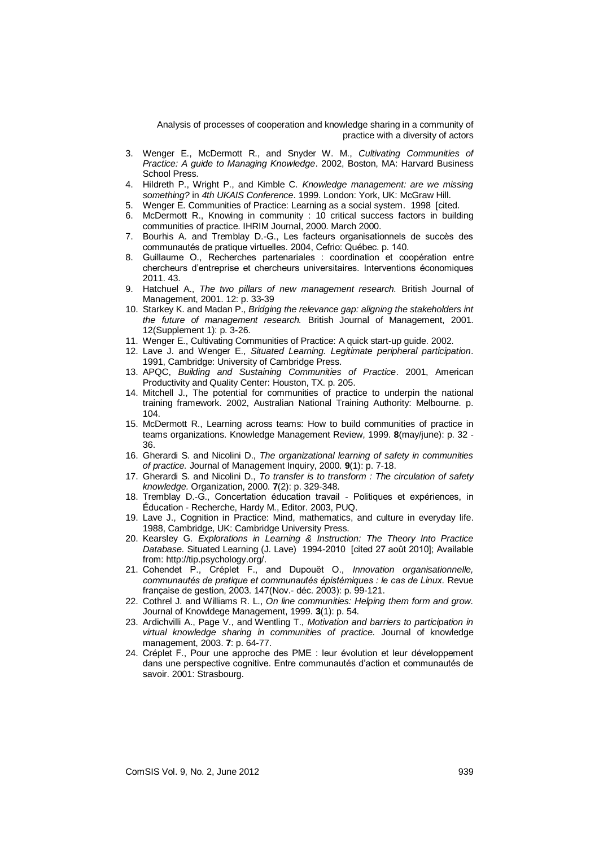- 3. Wenger E., McDermott R., and Snyder W. M., *Cultivating Communities of Practice: A guide to Managing Knowledge*. 2002, Boston, MA: Harvard Business School Press.
- 4. Hildreth P., Wright P., and Kimble C. *Knowledge management: are we missing something?* in *4th UKAIS Conference*. 1999. London: York, UK: McGraw Hill.
- 5. Wenger E. Communities of Practice: Learning as a social system. 1998 [cited.
- 6. McDermott R., Knowing in community : 10 critical success factors in building communities of practice. IHRIM Journal, 2000. March 2000.
- 7. Bourhis A. and Tremblay D.-G., Les facteurs organisationnels de succès des communautés de pratique virtuelles. 2004, Cefrio: Québec. p. 140.
- 8. Guillaume O., Recherches partenariales : coordination et coopération entre chercheurs d'entreprise et chercheurs universitaires. Interventions économiques 2011. 43.
- 9. Hatchuel A., *The two pillars of new management research.* British Journal of Management, 2001. 12: p. 33-39
- 10. Starkey K. and Madan P., *Bridging the relevance gap: aligning the stakeholders int the future of management research.* British Journal of Management, 2001. 12(Supplement 1): p. 3-26.
- 11. Wenger E., Cultivating Communities of Practice: A quick start-up guide. 2002.
- 12. Lave J. and Wenger E., *Situated Learning. Legitimate peripheral participation*. 1991, Cambridge: University of Cambridge Press.
- 13. APQC, *Building and Sustaining Communities of Practice*. 2001, American Productivity and Quality Center: Houston, TX. p. 205.
- 14. Mitchell J., The potential for communities of practice to underpin the national training framework. 2002, Australian National Training Authority: Melbourne. p. 104.
- 15. McDermott R., Learning across teams: How to build communities of practice in teams organizations. Knowledge Management Review, 1999. **8**(may/june): p. 32 - 36.
- 16. Gherardi S. and Nicolini D., *The organizational learning of safety in communities of practice.* Journal of Management Inquiry, 2000. **9**(1): p. 7-18.
- 17. Gherardi S. and Nicolini D., *To transfer is to transform : The circulation of safety knowledge.* Organization, 2000. **7**(2): p. 329-348.
- 18. Tremblay D.-G., Concertation éducation travail Politiques et expériences, in Éducation - Recherche, Hardy M., Editor. 2003, PUQ.
- 19. Lave J., Cognition in Practice: Mind, mathematics, and culture in everyday life. 1988, Cambridge, UK: Cambridge University Press.
- 20. Kearsley G. *Explorations in Learning & Instruction: The Theory Into Practice Database*. Situated Learning (J. Lave) 1994-2010 [cited 27 août 2010]; Available from: http://tip.psychology.org/.
- 21. Cohendet P., Créplet F., and Dupouët O., *Innovation organisationnelle, communautés de pratique et communautés épistémiques : le cas de Linux.* Revue française de gestion, 2003. 147(Nov.- déc. 2003): p. 99-121.
- 22. Cothrel J. and Williams R. L., *On line communities: Helping them form and grow.* Journal of Knowldege Management, 1999. **3**(1): p. 54.
- 23. Ardichvilli A., Page V., and Wentling T., *Motivation and barriers to participation in virtual knowledge sharing in communities of practice.* Journal of knowledge management, 2003. **7**: p. 64-77.
- 24. Créplet F., Pour une approche des PME : leur évolution et leur développement dans une perspective cognitive. Entre communautés d'action et communautés de savoir. 2001: Strasbourg.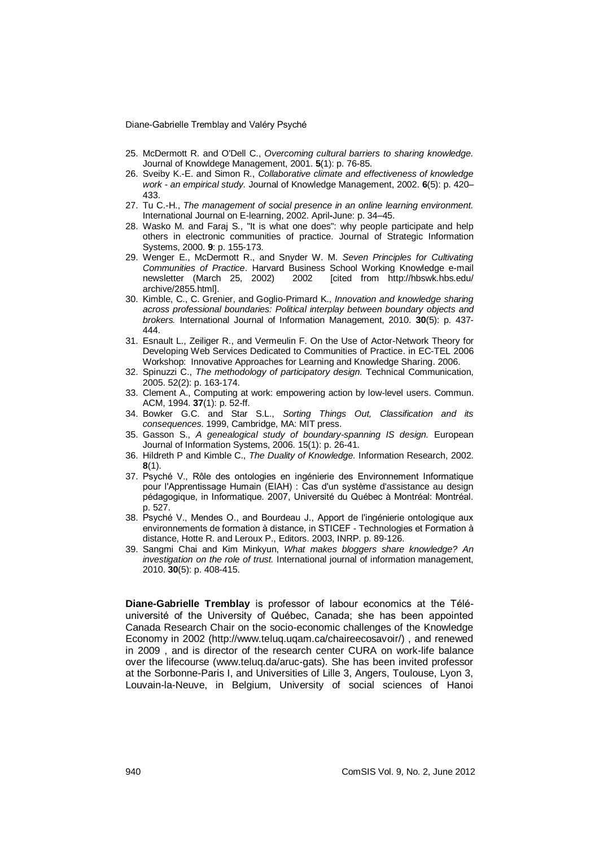- 25. McDermott R. and O'Dell C., *Overcoming cultural barriers to sharing knowledge.* Journal of Knowldege Management, 2001. **5**(1): p. 76-85.
- 26. Sveiby K.-E. and Simon R., *Collaborative climate and effectiveness of knowledge work - an empirical study.* Journal of Knowledge Management, 2002. **6**(5): p. 420– 433.
- 27. Tu C.-H., *The management of social presence in an online learning environment.* International Journal on E-learning, 2002. April**-**June: p. 34–45.
- 28. Wasko M. and Faraj S., "It is what one does": why people participate and help others in electronic communities of practice. Journal of Strategic Information Systems, 2000. **9**: p. 155-173.
- 29. Wenger E., McDermott R., and Snyder W. M. *Seven Principles for Cultivating Communities of Practice*. Harvard Business School Working Knowledge e-mail newsletter (March 25, 2002) 2002 [cited from http://hbswk.hbs.edu/ archive/2855.html].
- 30. Kimble, C., C. Grenier, and Goglio-Primard K., *Innovation and knowledge sharing across professional boundaries: Political interplay between boundary objects and brokers.* International Journal of Information Management, 2010. **30**(5): p. 437- 444.
- 31. Esnault L., Zeiliger R., and Vermeulin F. On the Use of Actor-Network Theory for Developing Web Services Dedicated to Communities of Practice. in EC-TEL 2006 Workshop: Innovative Approaches for Learning and Knowledge Sharing. 2006.
- 32. Spinuzzi C., *The methodology of participatory design.* Technical Communication, 2005. 52(2): p. 163-174.
- 33. Clement A., Computing at work: empowering action by low-level users. Commun. ACM, 1994. **37**(1): p. 52-ff.
- 34. Bowker G.C. and Star S.L., *Sorting Things Out, Classification and its consequences*. 1999, Cambridge, MA: MIT press.
- 35. Gasson S., *A genealogical study of boundary-spanning IS design.* European Journal of Information Systems, 2006. 15(1): p. 26-41.
- 36. Hildreth P and Kimble C., *The Duality of Knowledge.* Information Research, 2002. **8**(1).
- 37. Psyché V., Rôle des ontologies en ingénierie des Environnement Informatique pour l'Apprentissage Humain (EIAH) : Cas d'un système d'assistance au design pédagogique, in Informatique. 2007, Université du Québec à Montréal: Montréal. p. 527.
- 38. Psyché V., Mendes O., and Bourdeau J., Apport de l'ingénierie ontologique aux environnements de formation à distance, in STICEF - Technologies et Formation à distance, Hotte R. and Leroux P., Editors. 2003, INRP. p. 89-126.
- 39. Sangmi Chai and Kim Minkyun, *What makes bloggers share knowledge? An investigation on the role of trust.* International journal of information management, 2010. **30**(5): p. 408-415.

**Diane-Gabrielle Tremblay** is professor of labour economics at the Téléuniversité of the University of Québec, Canada; she has been appointed Canada Research Chair on the socio-economic challenges of the Knowledge Economy in 2002 (http://www.teluq.uqam.ca/chaireecosavoir/) , and renewed in 2009 , and is director of the research center CURA on work-life balance over the lifecourse (www.teluq.da/aruc-gats). She has been invited professor at the Sorbonne-Paris I, and Universities of Lille 3, Angers, Toulouse, Lyon 3, Louvain-la-Neuve, in Belgium, University of social sciences of Hanoi